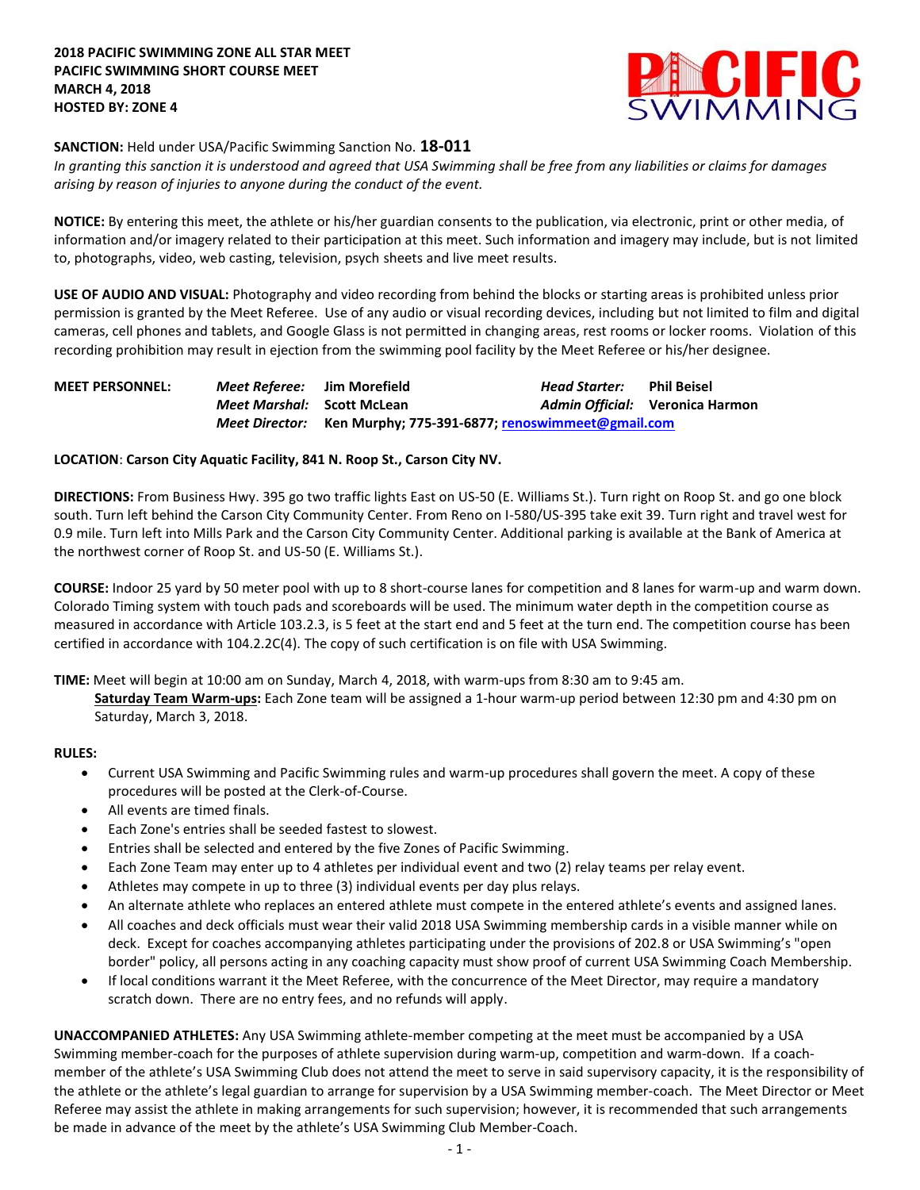

#### **SANCTION:** Held under USA/Pacific Swimming Sanction No. **18-011**

*In granting this sanction it is understood and agreed that USA Swimming shall be free from any liabilities or claims for damages arising by reason of injuries to anyone during the conduct of the event.*

**NOTICE:** By entering this meet, the athlete or his/her guardian consents to the publication, via electronic, print or other media, of information and/or imagery related to their participation at this meet. Such information and imagery may include, but is not limited to, photographs, video, web casting, television, psych sheets and live meet results.

**USE OF AUDIO AND VISUAL:** Photography and video recording from behind the blocks or starting areas is prohibited unless prior permission is granted by the Meet Referee. Use of any audio or visual recording devices, including but not limited to film and digital cameras, cell phones and tablets, and Google Glass is not permitted in changing areas, rest rooms or locker rooms. Violation of this recording prohibition may result in ejection from the swimming pool facility by the Meet Referee or his/her designee.

| <b>MEET PERSONNEL:</b>                                          | <i>Meet Referee:</i> Jim Morefield<br><i>Meet Marshal:</i> Scott McLean |  | Head Starter: | Phil Beisel<br>Admin Official: Veronica Harmon |
|-----------------------------------------------------------------|-------------------------------------------------------------------------|--|---------------|------------------------------------------------|
| Meet Director: Ken Murphy; 775-391-6877; renoswimmeet@gmail.com |                                                                         |  |               |                                                |

## **LOCATION**: **Carson City Aquatic Facility, 841 N. Roop St., Carson City NV.**

**DIRECTIONS:** From Business Hwy. 395 go two traffic lights East on US-50 (E. Williams St.). Turn right on Roop St. and go one block south. Turn left behind the Carson City Community Center. From Reno on I-580/US-395 take exit 39. Turn right and travel west for 0.9 mile. Turn left into Mills Park and the Carson City Community Center. Additional parking is available at the Bank of America at the northwest corner of Roop St. and US-50 (E. Williams St.).

**COURSE:** Indoor 25 yard by 50 meter pool with up to 8 short-course lanes for competition and 8 lanes for warm-up and warm down. Colorado Timing system with touch pads and scoreboards will be used. The minimum water depth in the competition course as measured in accordance with Article 103.2.3, is 5 feet at the start end and 5 feet at the turn end. The competition course has been certified in accordance with 104.2.2C(4). The copy of such certification is on file with USA Swimming.

**TIME:** Meet will begin at 10:00 am on Sunday, March 4, 2018, with warm-ups from 8:30 am to 9:45 am.

**Saturday Team Warm-ups:** Each Zone team will be assigned a 1-hour warm-up period between 12:30 pm and 4:30 pm on Saturday, March 3, 2018.

#### **RULES:**

- Current USA Swimming and Pacific Swimming rules and warm-up procedures shall govern the meet. A copy of these procedures will be posted at the Clerk-of-Course.
- All events are timed finals.
- Each Zone's entries shall be seeded fastest to slowest.
- Entries shall be selected and entered by the five Zones of Pacific Swimming.
- Each Zone Team may enter up to 4 athletes per individual event and two (2) relay teams per relay event.
- Athletes may compete in up to three (3) individual events per day plus relays.
- An alternate athlete who replaces an entered athlete must compete in the entered athlete's events and assigned lanes.
- All coaches and deck officials must wear their valid 2018 USA Swimming membership cards in a visible manner while on deck. Except for coaches accompanying athletes participating under the provisions of 202.8 or USA Swimming's "open border" policy, all persons acting in any coaching capacity must show proof of current USA Swimming Coach Membership.
- If local conditions warrant it the Meet Referee, with the concurrence of the Meet Director, may require a mandatory scratch down. There are no entry fees, and no refunds will apply.

**UNACCOMPANIED ATHLETES:** Any USA Swimming athlete-member competing at the meet must be accompanied by a USA Swimming member-coach for the purposes of athlete supervision during warm-up, competition and warm-down. If a coachmember of the athlete's USA Swimming Club does not attend the meet to serve in said supervisory capacity, it is the responsibility of the athlete or the athlete's legal guardian to arrange for supervision by a USA Swimming member-coach. The Meet Director or Meet Referee may assist the athlete in making arrangements for such supervision; however, it is recommended that such arrangements be made in advance of the meet by the athlete's USA Swimming Club Member-Coach.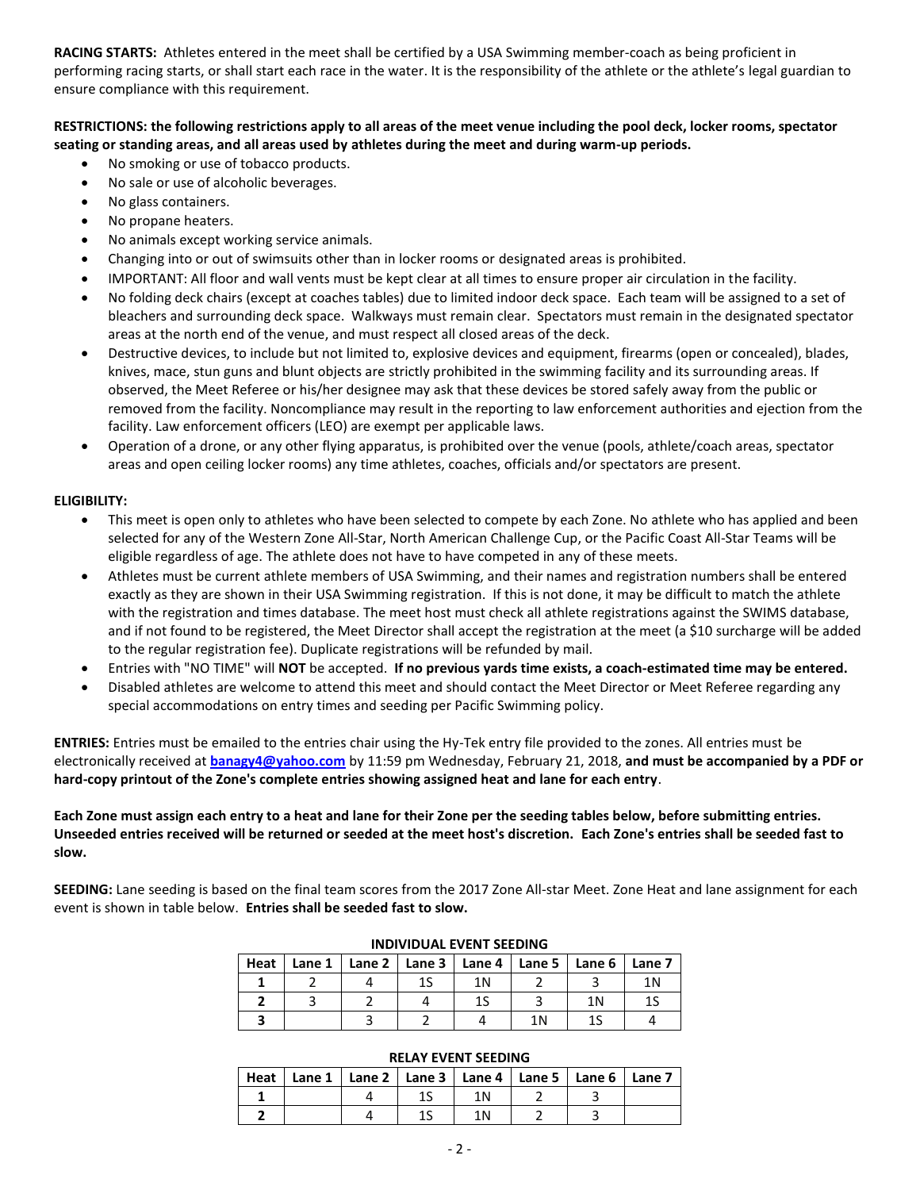**RACING STARTS:** Athletes entered in the meet shall be certified by a USA Swimming member-coach as being proficient in performing racing starts, or shall start each race in the water. It is the responsibility of the athlete or the athlete's legal guardian to ensure compliance with this requirement.

## **RESTRICTIONS: the following restrictions apply to all areas of the meet venue including the pool deck, locker rooms, spectator seating or standing areas, and all areas used by athletes during the meet and during warm-up periods.**

- No smoking or use of tobacco products.
- No sale or use of alcoholic beverages.
- No glass containers.
- No propane heaters.
- No animals except working service animals.
- Changing into or out of swimsuits other than in locker rooms or designated areas is prohibited.
- IMPORTANT: All floor and wall vents must be kept clear at all times to ensure proper air circulation in the facility.
- No folding deck chairs (except at coaches tables) due to limited indoor deck space. Each team will be assigned to a set of bleachers and surrounding deck space. Walkways must remain clear. Spectators must remain in the designated spectator areas at the north end of the venue, and must respect all closed areas of the deck.
- Destructive devices, to include but not limited to, explosive devices and equipment, firearms (open or concealed), blades, knives, mace, stun guns and blunt objects are strictly prohibited in the swimming facility and its surrounding areas. If observed, the Meet Referee or his/her designee may ask that these devices be stored safely away from the public or removed from the facility. Noncompliance may result in the reporting to law enforcement authorities and ejection from the facility. Law enforcement officers (LEO) are exempt per applicable laws.
- Operation of a drone, or any other flying apparatus, is prohibited over the venue (pools, athlete/coach areas, spectator areas and open ceiling locker rooms) any time athletes, coaches, officials and/or spectators are present.

## **ELIGIBILITY:**

- This meet is open only to athletes who have been selected to compete by each Zone. No athlete who has applied and been selected for any of the Western Zone All-Star, North American Challenge Cup, or the Pacific Coast All-Star Teams will be eligible regardless of age. The athlete does not have to have competed in any of these meets.
- Athletes must be current athlete members of USA Swimming, and their names and registration numbers shall be entered exactly as they are shown in their USA Swimming registration. If this is not done, it may be difficult to match the athlete with the registration and times database. The meet host must check all athlete registrations against the SWIMS database, and if not found to be registered, the Meet Director shall accept the registration at the meet (a \$10 surcharge will be added to the regular registration fee). Duplicate registrations will be refunded by mail.
- Entries with "NO TIME" will **NOT** be accepted. **If no previous yards time exists, a coach-estimated time may be entered.**
- Disabled athletes are welcome to attend this meet and should contact the Meet Director or Meet Referee regarding any special accommodations on entry times and seeding per Pacific Swimming policy.

**ENTRIES:** Entries must be emailed to the entries chair using the Hy-Tek entry file provided to the zones. All entries must be electronically received at **[banagy4@yahoo.com](mailto:banagy4@yahoo.com?subject=ZAM%20entries)** by 11:59 pm Wednesday, February 21, 2018, **and must be accompanied by a PDF or hard-copy printout of the Zone's complete entries showing assigned heat and lane for each entry**.

**Each Zone must assign each entry to a heat and lane for their Zone per the seeding tables below, before submitting entries. Unseeded entries received will be returned or seeded at the meet host's discretion. Each Zone's entries shall be seeded fast to slow.**

**SEEDING:** Lane seeding is based on the final team scores from the 2017 Zone All-star Meet. Zone Heat and lane assignment for each event is shown in table below. **Entries shall be seeded fast to slow.**

| INDIVIDUAL EVENT SEEDING |           |  |    |     |                                            |    |        |
|--------------------------|-----------|--|----|-----|--------------------------------------------|----|--------|
| Heat                     | Lane $11$ |  |    |     | Lane 2   Lane 3   Lane 4   Lane 5   Lane 6 |    | Lane 7 |
|                          |           |  | 1S | 1 N |                                            |    | 1Ν     |
|                          |           |  |    |     |                                            | 1Ν |        |
|                          |           |  |    |     | 1 N                                        |    |        |

# **INDIVIDUAL EVENT SEEDING**

| Heat   Lane 1   Lane 2   Lane 3   Lane 4   Lane 5   Lane 6   Lane 7 |  |     |  |  |
|---------------------------------------------------------------------|--|-----|--|--|
|                                                                     |  | 1 N |  |  |
|                                                                     |  |     |  |  |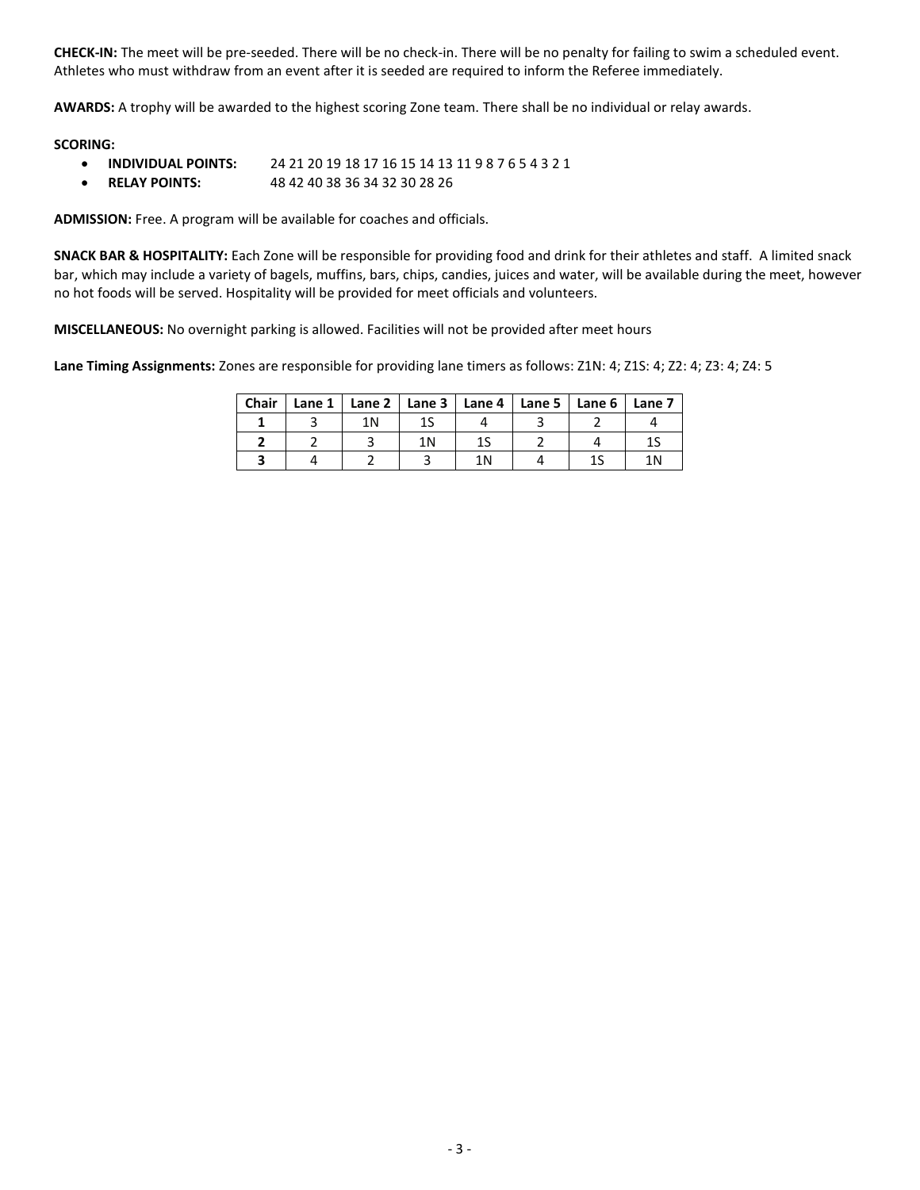**CHECK-IN:** The meet will be pre-seeded. There will be no check-in. There will be no penalty for failing to swim a scheduled event. Athletes who must withdraw from an event after it is seeded are required to inform the Referee immediately.

**AWARDS:** A trophy will be awarded to the highest scoring Zone team. There shall be no individual or relay awards.

#### **SCORING:**

- **INDIVIDUAL POINTS:** 24 21 20 19 18 17 16 15 14 13 11 9 8 7 6 5 4 3 2 1
- **RELAY POINTS:** 48 42 40 38 36 34 32 30 28 26

**ADMISSION:** Free. A program will be available for coaches and officials.

**SNACK BAR & HOSPITALITY:** Each Zone will be responsible for providing food and drink for their athletes and staff. A limited snack bar, which may include a variety of bagels, muffins, bars, chips, candies, juices and water, will be available during the meet, however no hot foods will be served. Hospitality will be provided for meet officials and volunteers.

**MISCELLANEOUS:** No overnight parking is allowed. Facilities will not be provided after meet hours

**Lane Timing Assignments:** Zones are responsible for providing lane timers as follows: Z1N: 4; Z1S: 4; Z2: 4; Z3: 4; Z4: 5

| <b>Chair</b> | Lane $1 \mid$ |    | Lane 2   Lane 3   Lane 4   Lane 5   Lane 6   Lane 7 |  |  |
|--------------|---------------|----|-----------------------------------------------------|--|--|
|              |               | 1Ν |                                                     |  |  |
|              |               |    |                                                     |  |  |
|              |               |    |                                                     |  |  |